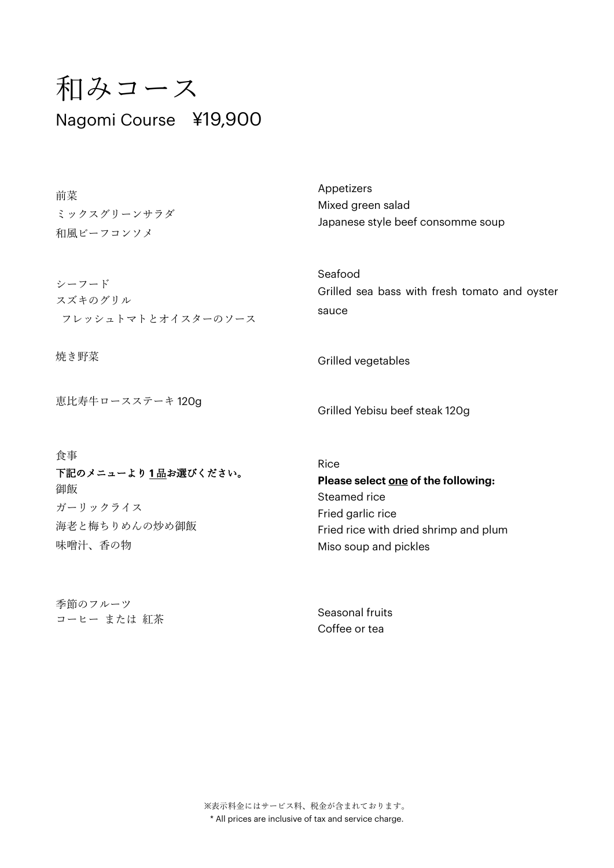# 和みコース Nagomi Course ¥19,900

| 前菜                 | Appetizers                                    |
|--------------------|-----------------------------------------------|
| ミックスグリーンサラダ        | Mixed green salad                             |
| 和風ビーフコンソメ          | Japanese style beef consomme soup             |
| シーフード              | Seafood                                       |
| スズキのグリル            | Grilled sea bass with fresh tomato and oyster |
| フレッシュトマトとオイスターのソース | sauce                                         |
| 焼き野菜               | Grilled vegetables                            |

恵比寿牛ロースステーキ 120g

食事

下記のメニューより **1** 品お選びください。 御飯 ガーリックライス 海老と梅ちりめんの炒め御飯 味噌汁、香の物

季節のフルーツ コーヒー または 紅茶 Grilled Yebisu beef steak 120g

Rice **Please select one of the following:**  Steamed rice Fried garlic rice Fried rice with dried shrimp and plum Miso soup and pickles

Seasonal fruits Coffee or tea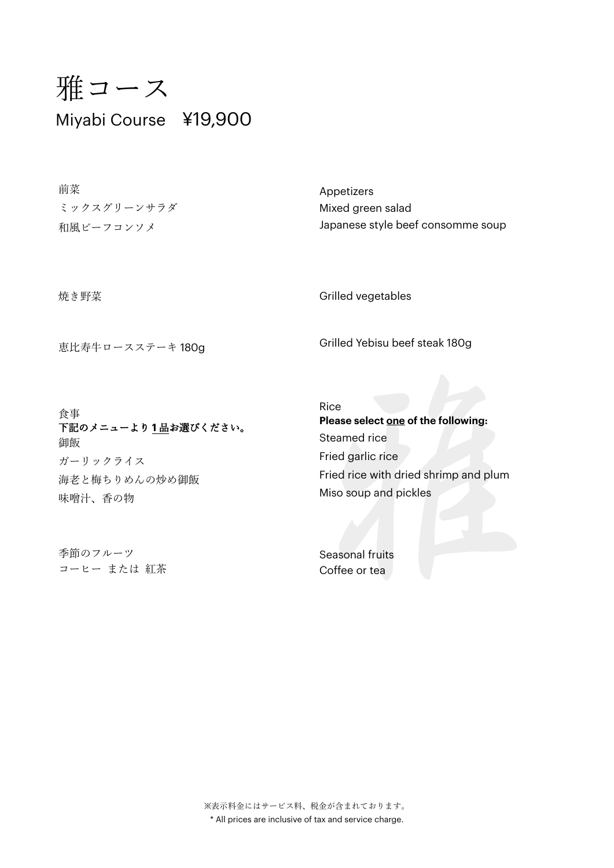# 雅コース Miyabi Course ¥19,900

前菜 ミックスグリーンサラダ 和風ビーフコンソメ

Appetizers Mixed green salad Japanese style beef consomme soup

焼き野菜

恵比寿牛ロースステーキ 180g

Grilled vegetables

Grilled Yebisu beef steak 180g

食事 下記のメニューより **1** 品お選びください。 御飯 ガーリックライス 海老と梅ちりめんの炒め御飯 味噌汁、香の物

季節のフルーツ コーヒー または 紅茶 Rice **Please select one of the following:**  Steamed rice Fried garlic rice Fried rice with dried shrimp and plum Miso soup and pickles

Seasonal fruits Coffee or tea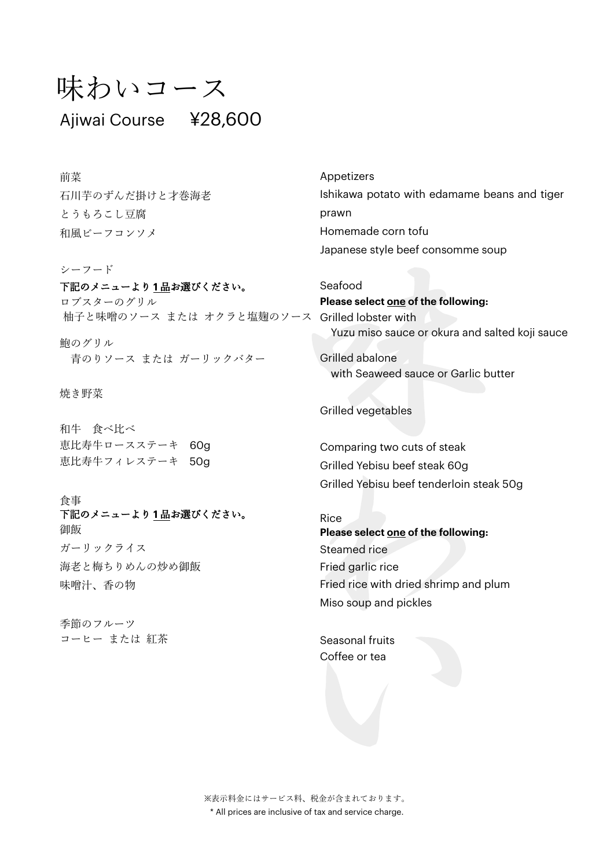## 味わいコース

### Ajiwai Course ¥28,600

前菜 石川芋のずんだ掛けと才巻海老 とうもろこし豆腐 和風ビーフコンソメ

シーフード

下記のメニューより **1** 品お選びください。 ロブスターのグリル 柚子と味噌のソース または オクラと塩麹のソース Grilled lobster with

鮑のグリル 青のりソース または ガーリックバター

焼き野菜

和牛 食べ比べ 恵比寿牛ロースステーキ 60g 恵比寿牛フィレステーキ 50g

食事 下記のメニューより **1** 品お選びください。 御飯 ガーリックライス 海老と梅ちりめんの炒め御飯 味噌汁、香の物

季節のフルーツ コーヒー または 紅茶 Appetizers Ishikawa potato with edamame beans and tiger prawn Homemade corn tofu Japanese style beef consomme soup

Seafood **Please select one of the following:** Yuzu miso sauce or okura and salted koji sauce

Grilled abalone with Seaweed sauce or Garlic butter

Grilled vegetables

Comparing two cuts of steak Grilled Yebisu beef steak 60g Grilled Yebisu beef tenderloin steak 50g

Rice **Please select one of the following:**  Steamed rice Fried garlic rice Fried rice with dried shrimp and plum Miso soup and pickles

Seasonal fruits Coffee or tea

※表示料金にはサービス料、税金が含まれております。 \* All prices are inclusive of tax and service charge.